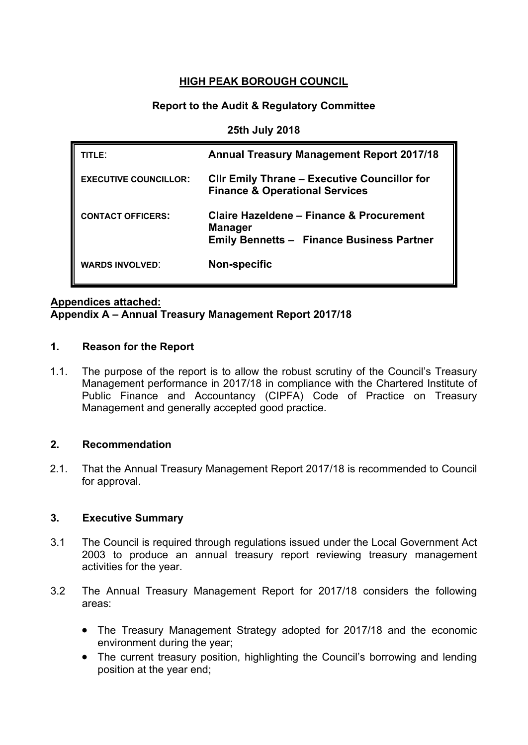#### **HIGH PEAK BOROUGH COUNCIL**

#### **Report to the Audit & Regulatory Committee**

**25th July 2018**

| TITLE:                       | <b>Annual Treasury Management Report 2017/18</b>                                                               |
|------------------------------|----------------------------------------------------------------------------------------------------------------|
| <b>EXECUTIVE COUNCILLOR:</b> | <b>CIIr Emily Thrane – Executive Councillor for</b><br><b>Finance &amp; Operational Services</b>               |
| <b>CONTACT OFFICERS:</b>     | Claire Hazeldene – Finance & Procurement<br><b>Manager</b><br><b>Emily Bennetts - Finance Business Partner</b> |
| <b>WARDS INVOLVED:</b>       | <b>Non-specific</b>                                                                                            |

#### **Appendices attached:**

#### **Appendix A – Annual Treasury Management Report 2017/18**

#### **1. Reason for the Report**

1.1. The purpose of the report is to allow the robust scrutiny of the Council's Treasury Management performance in 2017/18 in compliance with the Chartered Institute of Public Finance and Accountancy (CIPFA) Code of Practice on Treasury Management and generally accepted good practice.

#### **2. Recommendation**

2.1. That the Annual Treasury Management Report 2017/18 is recommended to Council for approval.

#### **3. Executive Summary**

- 3.1 The Council is required through regulations issued under the Local Government Act 2003 to produce an annual treasury report reviewing treasury management activities for the year.
- 3.2 The Annual Treasury Management Report for 2017/18 considers the following areas:
	- The Treasury Management Strategy adopted for 2017/18 and the economic environment during the year;
	- The current treasury position, highlighting the Council's borrowing and lending position at the year end;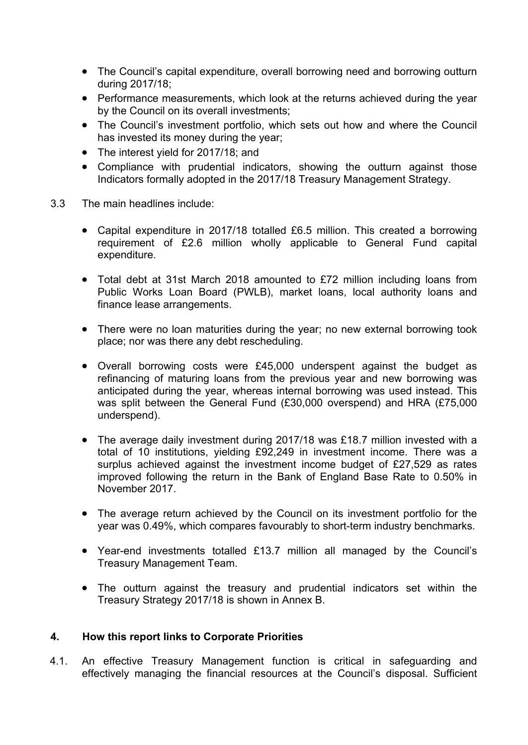- The Council's capital expenditure, overall borrowing need and borrowing outturn during 2017/18;
- Performance measurements, which look at the returns achieved during the year by the Council on its overall investments;
- The Council's investment portfolio, which sets out how and where the Council has invested its money during the year;
- The interest yield for 2017/18; and
- Compliance with prudential indicators, showing the outturn against those Indicators formally adopted in the 2017/18 Treasury Management Strategy.
- 3.3 The main headlines include:
	- Capital expenditure in 2017/18 totalled £6.5 million. This created a borrowing requirement of £2.6 million wholly applicable to General Fund capital expenditure.
	- Total debt at 31st March 2018 amounted to £72 million including loans from Public Works Loan Board (PWLB), market loans, local authority loans and finance lease arrangements.
	- There were no loan maturities during the year; no new external borrowing took place; nor was there any debt rescheduling.
	- Overall borrowing costs were £45,000 underspent against the budget as refinancing of maturing loans from the previous year and new borrowing was anticipated during the year, whereas internal borrowing was used instead. This was split between the General Fund (£30,000 overspend) and HRA (£75,000 underspend).
	- The average daily investment during 2017/18 was £18.7 million invested with a total of 10 institutions, yielding £92,249 in investment income. There was a surplus achieved against the investment income budget of £27,529 as rates improved following the return in the Bank of England Base Rate to 0.50% in November 2017.
	- The average return achieved by the Council on its investment portfolio for the year was 0.49%, which compares favourably to short-term industry benchmarks.
	- Year-end investments totalled £13.7 million all managed by the Council's Treasury Management Team.
	- The outturn against the treasury and prudential indicators set within the Treasury Strategy 2017/18 is shown in Annex B.

#### **4. How this report links to Corporate Priorities**

4.1. An effective Treasury Management function is critical in safeguarding and effectively managing the financial resources at the Council's disposal. Sufficient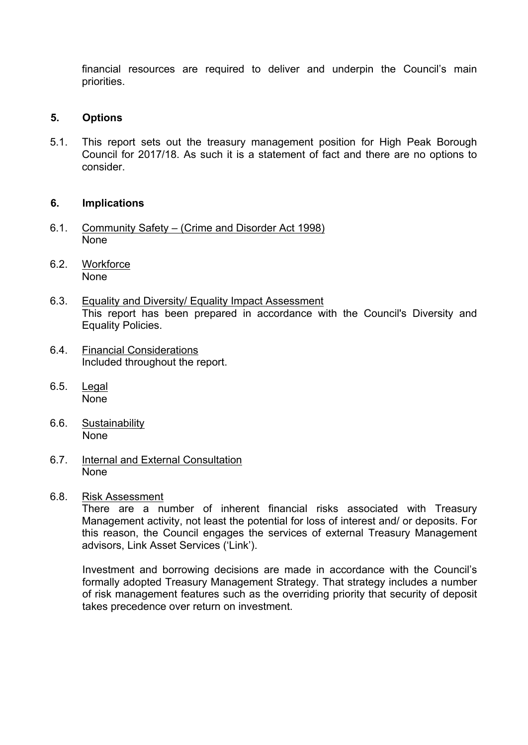financial resources are required to deliver and underpin the Council's main priorities.

#### **5. Options**

5.1. This report sets out the treasury management position for High Peak Borough Council for 2017/18. As such it is a statement of fact and there are no options to consider.

#### **6. Implications**

- 6.1. Community Safety (Crime and Disorder Act 1998) None
- 6.2. Workforce None
- 6.3. Equality and Diversity/ Equality Impact Assessment This report has been prepared in accordance with the Council's Diversity and Equality Policies.
- 6.4. Financial Considerations Included throughout the report.
- 6.5. Legal None
- 6.6. Sustainability None
- 6.7. Internal and External Consultation None
- 6.8. Risk Assessment

There are a number of inherent financial risks associated with Treasury Management activity, not least the potential for loss of interest and/ or deposits. For this reason, the Council engages the services of external Treasury Management advisors, Link Asset Services ('Link').

Investment and borrowing decisions are made in accordance with the Council's formally adopted Treasury Management Strategy. That strategy includes a number of risk management features such as the overriding priority that security of deposit takes precedence over return on investment.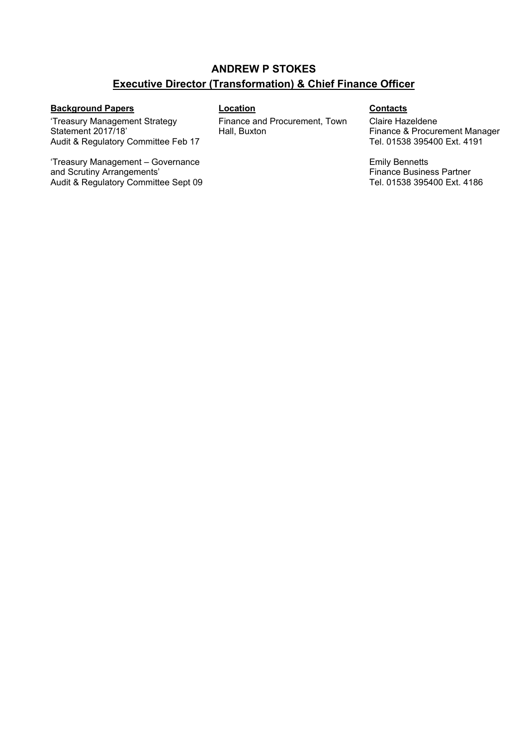#### **ANDREW P STOKES Executive Director (Transformation) & Chief Finance Officer**

#### **Background Papers Location Contacts**

'Treasury Management Strategy Statement 2017/18' Audit & Regulatory Committee Feb 17

'Treasury Management – Governance and Scrutiny Arrangements' Audit & Regulatory Committee Sept 09 Finance and Procurement, Town Hall, Buxton

Claire Hazeldene Finance & Procurement Manager Tel. 01538 395400 Ext. 4191

Emily Bennetts Finance Business Partner Tel. 01538 395400 Ext. 4186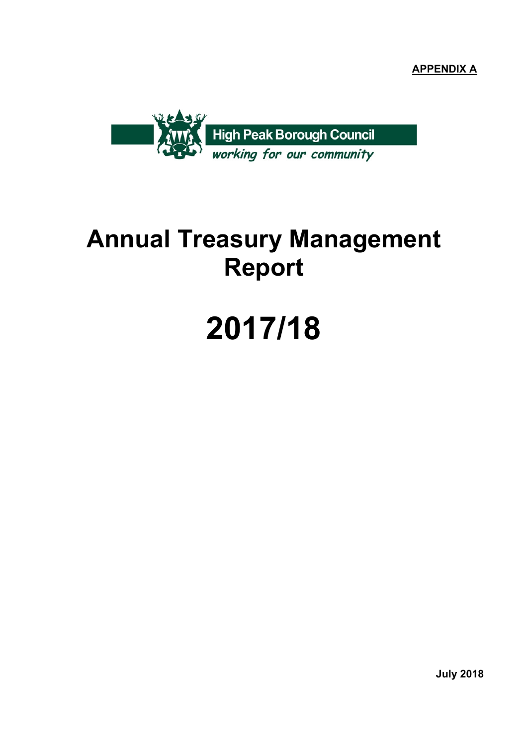**APPENDIX A**



## **Annual Treasury Management Report**

# **2017/18**

**July 2018**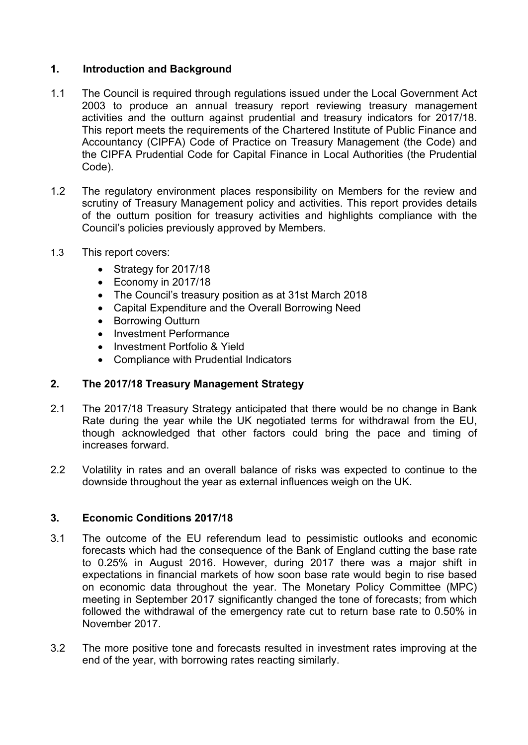#### **1. Introduction and Background**

- 1.1 The Council is required through regulations issued under the Local Government Act 2003 to produce an annual treasury report reviewing treasury management activities and the outturn against prudential and treasury indicators for 2017/18. This report meets the requirements of the Chartered Institute of Public Finance and Accountancy (CIPFA) Code of Practice on Treasury Management (the Code) and the CIPFA Prudential Code for Capital Finance in Local Authorities (the Prudential Code).
- 1.2 The regulatory environment places responsibility on Members for the review and scrutiny of Treasury Management policy and activities. This report provides details of the outturn position for treasury activities and highlights compliance with the Council's policies previously approved by Members.
- 1.3 This report covers:
	- Strategy for 2017/18
	- Economy in 2017/18
	- The Council's treasury position as at 31st March 2018
	- Capital Expenditure and the Overall Borrowing Need
	- Borrowing Outturn
	- Investment Performance
	- Investment Portfolio & Yield
	- Compliance with Prudential Indicators

#### **2. The 2017/18 Treasury Management Strategy**

- 2.1 The 2017/18 Treasury Strategy anticipated that there would be no change in Bank Rate during the year while the UK negotiated terms for withdrawal from the EU, though acknowledged that other factors could bring the pace and timing of increases forward.
- 2.2 Volatility in rates and an overall balance of risks was expected to continue to the downside throughout the year as external influences weigh on the UK.

#### **3. Economic Conditions 2017/18**

- 3.1 The outcome of the EU referendum lead to pessimistic outlooks and economic forecasts which had the consequence of the Bank of England cutting the base rate to 0.25% in August 2016. However, during 2017 there was a major shift in expectations in financial markets of how soon base rate would begin to rise based on economic data throughout the year. The Monetary Policy Committee (MPC) meeting in September 2017 significantly changed the tone of forecasts; from which followed the withdrawal of the emergency rate cut to return base rate to 0.50% in November 2017.
- 3.2 The more positive tone and forecasts resulted in investment rates improving at the end of the year, with borrowing rates reacting similarly.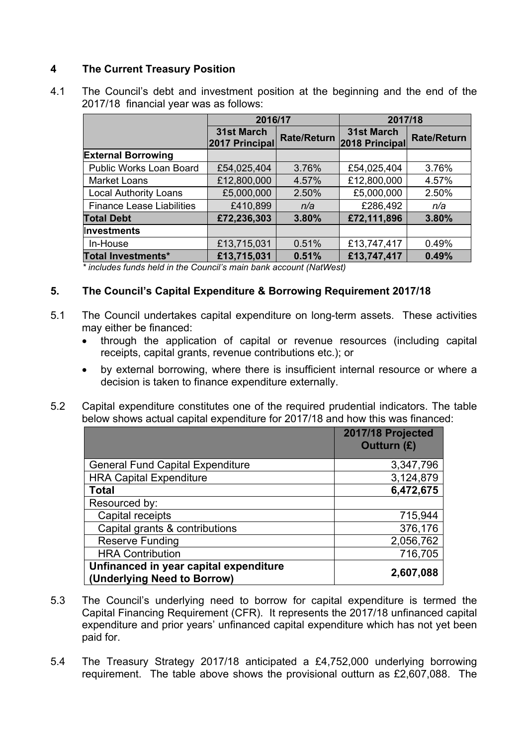#### **4 The Current Treasury Position**

| 4.1 | The Council's debt and investment position at the beginning and the end of the |
|-----|--------------------------------------------------------------------------------|
|     | 2017/18 financial year was as follows:                                         |

|                                  | 2016/17                      |                    | 2017/18                      |                    |  |
|----------------------------------|------------------------------|--------------------|------------------------------|--------------------|--|
|                                  | 31st March<br>2017 Principal | <b>Rate/Return</b> | 31st March<br>2018 Principal | <b>Rate/Return</b> |  |
| <b>External Borrowing</b>        |                              |                    |                              |                    |  |
| Public Works Loan Board          | £54,025,404                  | 3.76%              | £54,025,404                  | 3.76%              |  |
| <b>Market Loans</b>              | £12,800,000                  | 4.57%              | £12,800,000                  | 4.57%              |  |
| <b>Local Authority Loans</b>     | £5,000,000                   | 2.50%              | £5,000,000                   | 2.50%              |  |
| <b>Finance Lease Liabilities</b> | £410,899                     | n/a                | £286,492                     | n/a                |  |
| <b>Total Debt</b>                | £72,236,303                  | 3.80%              | £72,111,896                  | 3.80%              |  |
| Investments                      |                              |                    |                              |                    |  |
| In-House                         | £13,715,031                  | 0.51%              | £13,747,417                  | 0.49%              |  |
| Total Investments*               | £13,715,031                  | 0.51%              | £13,747,417                  | 0.49%              |  |

*\* includes funds held in the Council's main bank account (NatWest)*

#### **5. The Council's Capital Expenditure & Borrowing Requirement 2017/18**

- 5.1 The Council undertakes capital expenditure on long-term assets. These activities may either be financed:
	- through the application of capital or revenue resources (including capital receipts, capital grants, revenue contributions etc.); or
	- by external borrowing, where there is insufficient internal resource or where a decision is taken to finance expenditure externally.
- 5.2 Capital expenditure constitutes one of the required prudential indicators. The table below shows actual capital expenditure for 2017/18 and how this was financed:

|                                                                       | 2017/18 Projected<br><b>Outturn (£)</b> |
|-----------------------------------------------------------------------|-----------------------------------------|
| <b>General Fund Capital Expenditure</b>                               | 3,347,796                               |
| <b>HRA Capital Expenditure</b>                                        | 3,124,879                               |
| <b>Total</b>                                                          | 6,472,675                               |
| Resourced by:                                                         |                                         |
| Capital receipts                                                      | 715,944                                 |
| Capital grants & contributions                                        | 376,176                                 |
| <b>Reserve Funding</b>                                                | 2,056,762                               |
| <b>HRA Contribution</b>                                               | 716,705                                 |
| Unfinanced in year capital expenditure<br>(Underlying Need to Borrow) | 2,607,088                               |

- 5.3 The Council's underlying need to borrow for capital expenditure is termed the Capital Financing Requirement (CFR). It represents the 2017/18 unfinanced capital expenditure and prior years' unfinanced capital expenditure which has not yet been paid for.
- 5.4 The Treasury Strategy 2017/18 anticipated a £4,752,000 underlying borrowing requirement. The table above shows the provisional outturn as £2,607,088. The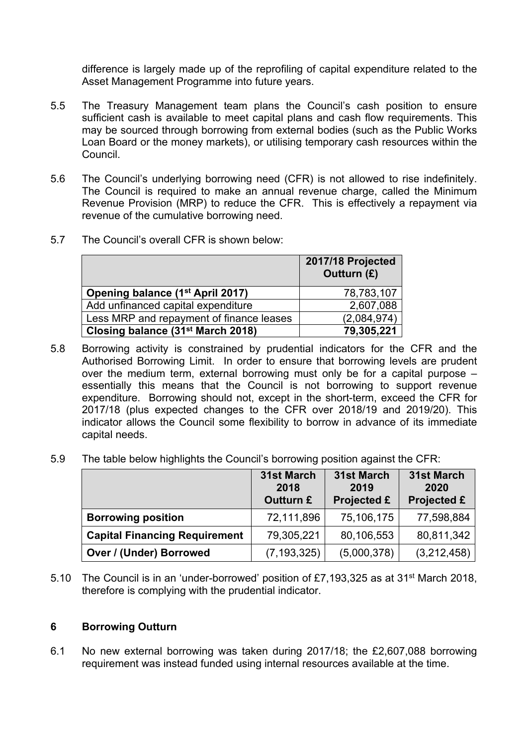difference is largely made up of the reprofiling of capital expenditure related to the Asset Management Programme into future years.

- 5.5 The Treasury Management team plans the Council's cash position to ensure sufficient cash is available to meet capital plans and cash flow requirements. This may be sourced through borrowing from external bodies (such as the Public Works Loan Board or the money markets), or utilising temporary cash resources within the Council.
- 5.6 The Council's underlying borrowing need (CFR) is not allowed to rise indefinitely. The Council is required to make an annual revenue charge, called the Minimum Revenue Provision (MRP) to reduce the CFR. This is effectively a repayment via revenue of the cumulative borrowing need.
- 5.7 The Council's overall CFR is shown below:

|                                               | 2017/18 Projected<br>Outturn (£) |
|-----------------------------------------------|----------------------------------|
| Opening balance (1 <sup>st</sup> April 2017)  | 78,783,107                       |
| Add unfinanced capital expenditure            | 2,607,088                        |
| Less MRP and repayment of finance leases      | (2,084,974)                      |
| Closing balance (31 <sup>st</sup> March 2018) | 79,305,221                       |

- 5.8 Borrowing activity is constrained by prudential indicators for the CFR and the Authorised Borrowing Limit. In order to ensure that borrowing levels are prudent over the medium term, external borrowing must only be for a capital purpose – essentially this means that the Council is not borrowing to support revenue expenditure. Borrowing should not, except in the short-term, exceed the CFR for 2017/18 (plus expected changes to the CFR over 2018/19 and 2019/20). This indicator allows the Council some flexibility to borrow in advance of its immediate capital needs.
- 5.9 The table below highlights the Council's borrowing position against the CFR:

|                                      | 31st March<br>2018<br>Outturn £ | 31st March<br>2019<br><b>Projected £</b> | 31st March<br>2020<br><b>Projected £</b> |
|--------------------------------------|---------------------------------|------------------------------------------|------------------------------------------|
| <b>Borrowing position</b>            | 72,111,896                      | 75,106,175                               | 77,598,884                               |
| <b>Capital Financing Requirement</b> | 79,305,221                      | 80,106,553                               | 80,811,342                               |
| <b>Over / (Under) Borrowed</b>       | (7, 193, 325)                   | (5,000,378)                              | (3,212,458)                              |

5.10 The Council is in an 'under-borrowed' position of £7,193,325 as at 31st March 2018, therefore is complying with the prudential indicator.

#### **6 Borrowing Outturn**

6.1 No new external borrowing was taken during 2017/18; the £2,607,088 borrowing requirement was instead funded using internal resources available at the time.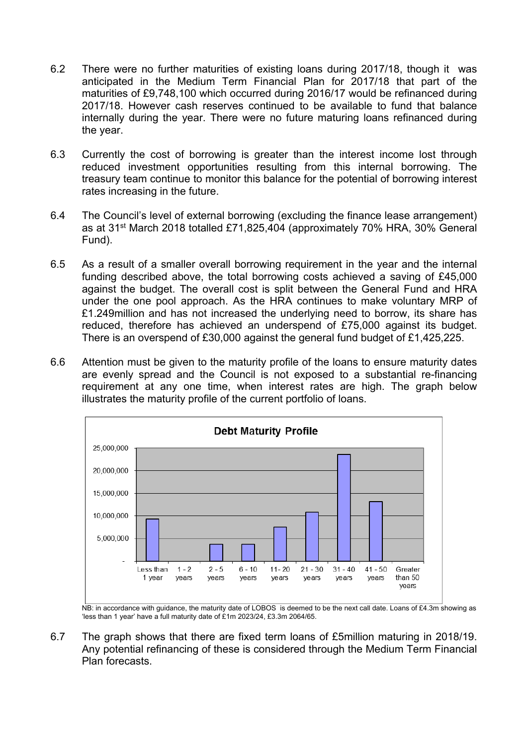- 6.2 There were no further maturities of existing loans during 2017/18, though it was anticipated in the Medium Term Financial Plan for 2017/18 that part of the maturities of £9,748,100 which occurred during 2016/17 would be refinanced during 2017/18. However cash reserves continued to be available to fund that balance internally during the year. There were no future maturing loans refinanced during the year.
- 6.3 Currently the cost of borrowing is greater than the interest income lost through reduced investment opportunities resulting from this internal borrowing. The treasury team continue to monitor this balance for the potential of borrowing interest rates increasing in the future.
- 6.4 The Council's level of external borrowing (excluding the finance lease arrangement) as at 31st March 2018 totalled £71,825,404 (approximately 70% HRA, 30% General Fund).
- 6.5 As a result of a smaller overall borrowing requirement in the year and the internal funding described above, the total borrowing costs achieved a saving of £45,000 against the budget. The overall cost is split between the General Fund and HRA under the one pool approach. As the HRA continues to make voluntary MRP of £1.249million and has not increased the underlying need to borrow, its share has reduced, therefore has achieved an underspend of £75,000 against its budget. There is an overspend of £30,000 against the general fund budget of £1,425,225.
- 6.6 Attention must be given to the maturity profile of the loans to ensure maturity dates are evenly spread and the Council is not exposed to a substantial re-financing requirement at any one time, when interest rates are high. The graph below illustrates the maturity profile of the current portfolio of loans.



NB: in accordance with guidance, the maturity date of LOBOS is deemed to be the next call date. Loans of £4.3m showing as 'less than 1 year' have a full maturity date of £1m 2023/24, £3.3m 2064/65.

6.7 The graph shows that there are fixed term loans of £5million maturing in 2018/19. Any potential refinancing of these is considered through the Medium Term Financial Plan forecasts.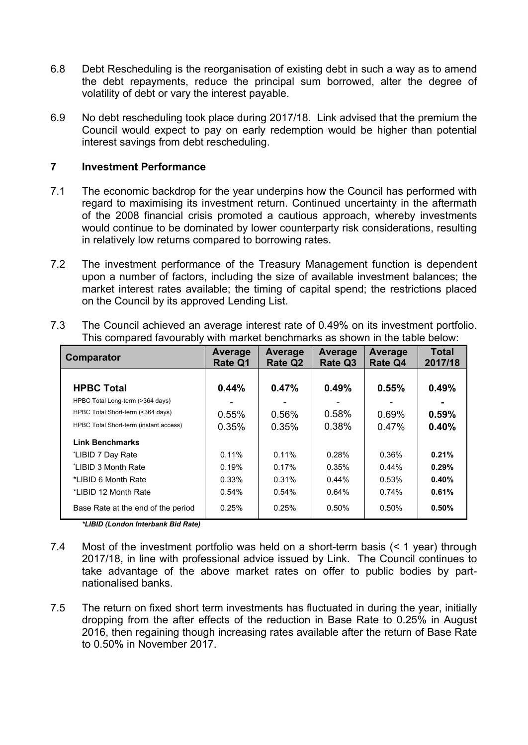- 6.8 Debt Rescheduling is the reorganisation of existing debt in such a way as to amend the debt repayments, reduce the principal sum borrowed, alter the degree of volatility of debt or vary the interest payable.
- 6.9 No debt rescheduling took place during 2017/18. Link advised that the premium the Council would expect to pay on early redemption would be higher than potential interest savings from debt rescheduling.

#### **7 Investment Performance**

- 7.1 The economic backdrop for the year underpins how the Council has performed with regard to maximising its investment return. Continued uncertainty in the aftermath of the 2008 financial crisis promoted a cautious approach, whereby investments would continue to be dominated by lower counterparty risk considerations, resulting in relatively low returns compared to borrowing rates.
- 7.2 The investment performance of the Treasury Management function is dependent upon a number of factors, including the size of available investment balances; the market interest rates available; the timing of capital spend; the restrictions placed on the Council by its approved Lending List.

| Comparator                             | Average<br><b>Rate Q1</b> | Average<br><b>Rate Q2</b> | <b>Average</b><br>Rate Q3 | Average<br><b>Rate Q4</b> | <b>Total</b><br>2017/18 |
|----------------------------------------|---------------------------|---------------------------|---------------------------|---------------------------|-------------------------|
| <b>HPBC Total</b>                      | 0.44%                     | 0.47%                     | 0.49%                     | 0.55%                     | 0.49%                   |
| HPBC Total Long-term (>364 days)       |                           |                           |                           |                           | $\blacksquare$          |
| HPBC Total Short-term (<364 days)      | 0.55%                     | 0.56%                     | 0.58%                     | 0.69%                     | 0.59%                   |
| HPBC Total Short-term (instant access) | 0.35%                     | 0.35%                     | 0.38%                     | 0.47%                     | 0.40%                   |
| <b>Link Benchmarks</b>                 |                           |                           |                           |                           |                         |
| *LIBID 7 Day Rate                      | 0.11%                     | 0.11%                     | 0.28%                     | 0.36%                     | 0.21%                   |
| *LIBID 3 Month Rate                    | 0.19%                     | 0.17%                     | 0.35%                     | $0.44\%$                  | 0.29%                   |
| *I IBID 6 Month Rate                   | 0.33%                     | 0.31%                     | $0.44\%$                  | 0.53%                     | 0.40%                   |
| *LIBID 12 Month Rate                   | 0.54%                     | 0.54%                     | 0.64%                     | 0.74%                     | 0.61%                   |
| Base Rate at the end of the period     | 0.25%                     | 0.25%                     | $0.50\%$                  | $0.50\%$                  | 0.50%                   |

7.3 The Council achieved an average interest rate of 0.49% on its investment portfolio. This compared favourably with market benchmarks as shown in the table below:

*\*LIBID (London Interbank Bid Rate)*

- 7.4 Most of the investment portfolio was held on a short-term basis (< 1 year) through 2017/18, in line with professional advice issued by Link. The Council continues to take advantage of the above market rates on offer to public bodies by partnationalised banks.
- 7.5 The return on fixed short term investments has fluctuated in during the year, initially dropping from the after effects of the reduction in Base Rate to 0.25% in August 2016, then regaining though increasing rates available after the return of Base Rate to 0.50% in November 2017.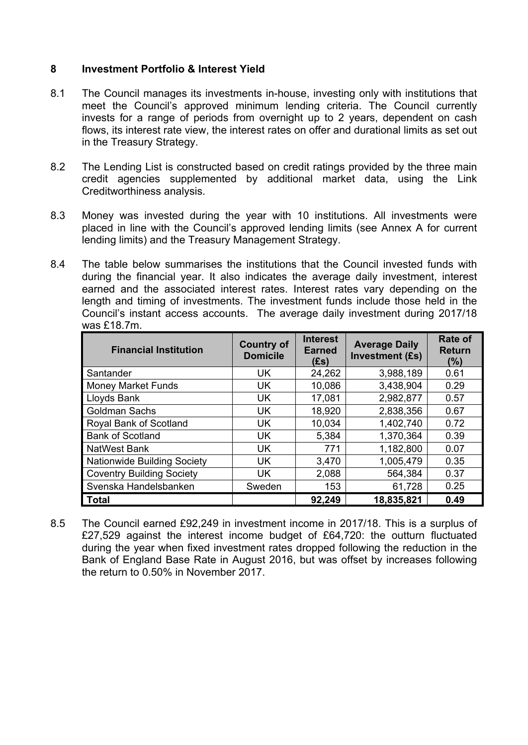#### **8 Investment Portfolio & Interest Yield**

- 8.1 The Council manages its investments in-house, investing only with institutions that meet the Council's approved minimum lending criteria. The Council currently invests for a range of periods from overnight up to 2 years, dependent on cash flows, its interest rate view, the interest rates on offer and durational limits as set out in the Treasury Strategy.
- 8.2 The Lending List is constructed based on credit ratings provided by the three main credit agencies supplemented by additional market data, using the Link Creditworthiness analysis.
- 8.3 Money was invested during the year with 10 institutions. All investments were placed in line with the Council's approved lending limits (see Annex A for current lending limits) and the Treasury Management Strategy.
- 8.4 The table below summarises the institutions that the Council invested funds with during the financial year. It also indicates the average daily investment, interest earned and the associated interest rates. Interest rates vary depending on the length and timing of investments. The investment funds include those held in the Council's instant access accounts. The average daily investment during 2017/18 was £18.7m.

| <b>Financial Institution</b>       | <b>Country of</b><br><b>Domicile</b> | <b>Interest</b><br><b>Earned</b><br>(fs) | <b>Average Daily</b><br><b>Investment (£s)</b> | <b>Rate of</b><br><b>Return</b><br>(%) |
|------------------------------------|--------------------------------------|------------------------------------------|------------------------------------------------|----------------------------------------|
| Santander                          | UK.                                  | 24,262                                   | 3,988,189                                      | 0.61                                   |
| <b>Money Market Funds</b>          | <b>UK</b>                            | 10,086                                   | 3,438,904                                      | 0.29                                   |
| Lloyds Bank                        | <b>UK</b>                            | 17,081                                   | 2,982,877                                      | 0.57                                   |
| <b>Goldman Sachs</b>               | <b>UK</b>                            | 18,920                                   | 2,838,356                                      | 0.67                                   |
| Royal Bank of Scotland             | <b>UK</b>                            | 10,034                                   | 1,402,740                                      | 0.72                                   |
| <b>Bank of Scotland</b>            | <b>UK</b>                            | 5,384                                    | 1,370,364                                      | 0.39                                   |
| <b>NatWest Bank</b>                | <b>UK</b>                            | 771                                      | 1,182,800                                      | 0.07                                   |
| <b>Nationwide Building Society</b> | UK.                                  | 3,470                                    | 1,005,479                                      | 0.35                                   |
| <b>Coventry Building Society</b>   | <b>UK</b>                            | 2,088                                    | 564,384                                        | 0.37                                   |
| Svenska Handelsbanken              | Sweden                               | 153                                      | 61,728                                         | 0.25                                   |
| <b>Total</b>                       |                                      | 92,249                                   | 18,835,821                                     | 0.49                                   |

8.5 The Council earned £92,249 in investment income in 2017/18. This is a surplus of £27,529 against the interest income budget of £64,720: the outturn fluctuated during the year when fixed investment rates dropped following the reduction in the Bank of England Base Rate in August 2016, but was offset by increases following the return to 0.50% in November 2017.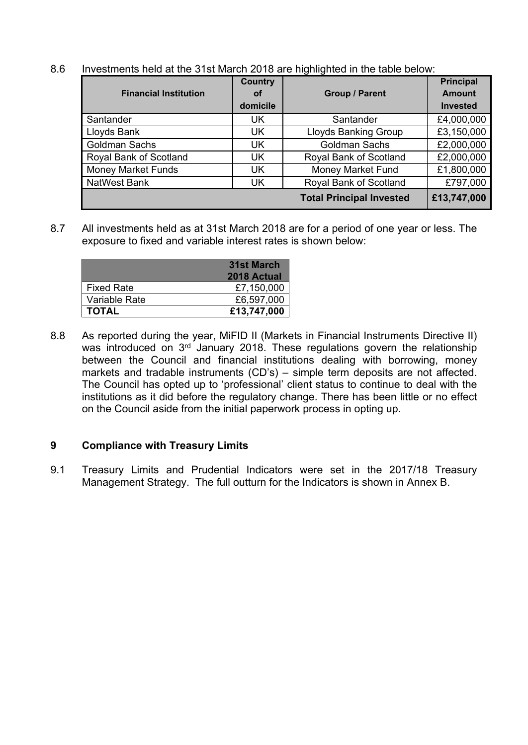| 8.6 | Investments held at the 31st March 2018 are highlighted in the table below: |
|-----|-----------------------------------------------------------------------------|
|     |                                                                             |

|                              | <b>Country</b> |                                 | <b>Principal</b> |
|------------------------------|----------------|---------------------------------|------------------|
| <b>Financial Institution</b> | Οf             | <b>Group / Parent</b>           | <b>Amount</b>    |
|                              | domicile       |                                 | <b>Invested</b>  |
| Santander                    | <b>UK</b>      | Santander                       | £4,000,000       |
| Lloyds Bank                  | UK             | <b>Lloyds Banking Group</b>     | £3,150,000       |
| <b>Goldman Sachs</b>         | <b>UK</b>      | <b>Goldman Sachs</b>            | £2,000,000       |
| Royal Bank of Scotland       | <b>UK</b>      | Royal Bank of Scotland          | £2,000,000       |
| <b>Money Market Funds</b>    | UK             | Money Market Fund               | £1,800,000       |
| <b>NatWest Bank</b>          | UK             | Royal Bank of Scotland          | £797,000         |
|                              |                | <b>Total Principal Invested</b> | £13,747,000      |

8.7 All investments held as at 31st March 2018 are for a period of one year or less. The exposure to fixed and variable interest rates is shown below:

|                   | 31st March<br>2018 Actual |
|-------------------|---------------------------|
| <b>Fixed Rate</b> | £7,150,000                |
| Variable Rate     | £6,597,000                |
| <b>TOTAL</b>      | £13,747,000               |

8.8 As reported during the year, MiFID II (Markets in Financial Instruments Directive II) was introduced on 3<sup>rd</sup> January 2018. These regulations govern the relationship between the Council and financial institutions dealing with borrowing, money markets and tradable instruments (CD's) – simple term deposits are not affected. The Council has opted up to 'professional' client status to continue to deal with the institutions as it did before the regulatory change. There has been little or no effect on the Council aside from the initial paperwork process in opting up.

#### **9 Compliance with Treasury Limits**

9.1 Treasury Limits and Prudential Indicators were set in the 2017/18 Treasury Management Strategy. The full outturn for the Indicators is shown in Annex B.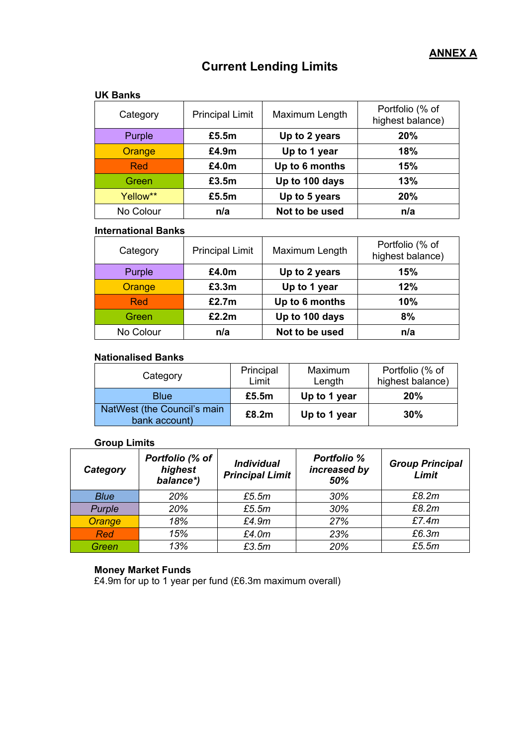### **Current Lending Limits**

#### **UK Banks**

| Category  | <b>Principal Limit</b> | Maximum Length | Portfolio (% of<br>highest balance) |
|-----------|------------------------|----------------|-------------------------------------|
| Purple    | £5.5m                  | Up to 2 years  | 20%                                 |
| Orange    | £4.9m                  | Up to 1 year   | 18%                                 |
| Red       | £4.0m                  | Up to 6 months | 15%                                 |
| Green     | £3.5m                  | Up to 100 days | 13%                                 |
| Yellow**  | £5.5m                  | Up to 5 years  | 20%                                 |
| No Colour | n/a                    | Not to be used | n/a                                 |

#### **International Banks**

| Category   | <b>Principal Limit</b> | Maximum Length | Portfolio (% of<br>highest balance) |
|------------|------------------------|----------------|-------------------------------------|
| Purple     | £4.0m                  | Up to 2 years  | 15%                                 |
| Orange     | £3.3m                  | Up to 1 year   | 12%                                 |
| <b>Red</b> | £2.7m                  | Up to 6 months | 10%                                 |
| Green      | £2.2m                  | Up to 100 days | 8%                                  |
| No Colour  | n/a                    | Not to be used | n/a                                 |

#### **Nationalised Banks**

| Category                                     | Principal<br>Limit | Maximum<br>Length | Portfolio (% of<br>highest balance) |
|----------------------------------------------|--------------------|-------------------|-------------------------------------|
| <b>Blue</b>                                  | £5.5m              | Up to 1 year      | 20%                                 |
| NatWest (the Council's main<br>bank account) | £8.2m              | Up to 1 year      | 30%                                 |

#### **Group Limits**

| Category    | Portfolio (% of<br>highest<br>balance*) | <b>Individual</b><br><b>Principal Limit</b> | <b>Portfolio %</b><br>increased by<br>50% | <b>Group Principal</b><br>Limit |
|-------------|-----------------------------------------|---------------------------------------------|-------------------------------------------|---------------------------------|
| <b>Blue</b> | 20%                                     | £5.5m                                       | 30%                                       | £8.2m                           |
| Purple      | 20%                                     | £5.5m                                       | 30%                                       | £8.2m                           |
| Orange      | 18%                                     | £4.9m                                       | 27%                                       | £7.4m                           |
| <b>Red</b>  | 15%                                     | £4.0m                                       | 23%                                       | £6.3m                           |
| Green       | 13%                                     | £3.5m                                       | 20%                                       | £5.5m                           |

#### **Money Market Funds**

£4.9m for up to 1 year per fund (£6.3m maximum overall)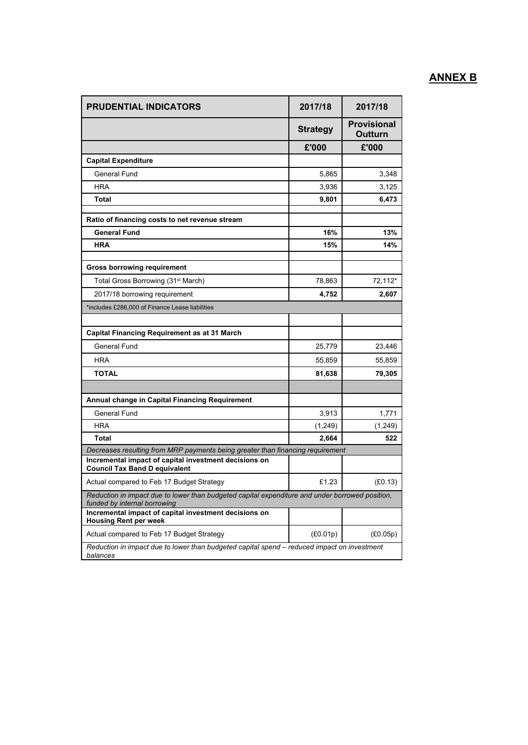#### **ANNEX B**

| <b>PRUDENTIAL INDICATORS</b>                                                                                                    | 2017/18         | 2017/18                              |
|---------------------------------------------------------------------------------------------------------------------------------|-----------------|--------------------------------------|
|                                                                                                                                 | <b>Strategy</b> | <b>Provisional</b><br><b>Outturn</b> |
|                                                                                                                                 | £'000           | £'000                                |
| <b>Capital Expenditure</b>                                                                                                      |                 |                                      |
| General Fund                                                                                                                    | 5,865           | 3,348                                |
| HRA                                                                                                                             | 3,936           | 3.125                                |
| Total                                                                                                                           | 9,801           | 6,473                                |
| Ratio of financing costs to net revenue stream                                                                                  |                 |                                      |
| <b>General Fund</b>                                                                                                             | 16%             | 13%                                  |
| HRA                                                                                                                             | 15%             | 14%                                  |
| <b>Gross borrowing requirement</b>                                                                                              |                 |                                      |
| Total Gross Borrowing (31 <sup>st</sup> March)                                                                                  | 78,863          | 72,112*                              |
| 2017/18 borrowing requirement                                                                                                   | 4,752           | 2,607                                |
| *includes £286,000 of Finance Lease liabilities                                                                                 |                 |                                      |
|                                                                                                                                 |                 |                                      |
| <b>Capital Financing Requirement as at 31 March</b>                                                                             |                 |                                      |
| General Fund                                                                                                                    | 25,779          | 23,446                               |
| <b>HRA</b>                                                                                                                      | 55,859          | 55,859                               |
| <b>TOTAL</b>                                                                                                                    | 81,638          | 79,305                               |
|                                                                                                                                 |                 |                                      |
| Annual change in Capital Financing Requirement                                                                                  |                 |                                      |
| General Fund                                                                                                                    | 3,913           | 1,771                                |
| HRA                                                                                                                             | (1,249)         | (1,249)                              |
| Total                                                                                                                           | 2,664           | 522                                  |
| Decreases resulting from MRP payments being greater than financing requirement                                                  |                 |                                      |
| Incremental impact of capital investment decisions on<br><b>Council Tax Band D equivalent</b>                                   |                 |                                      |
| Actual compared to Feb 17 Budget Strategy                                                                                       | £1.23           | (E0.13)                              |
| Reduction in impact due to lower than budgeted capital expenditure and under borrowed position,<br>funded by internal borrowing |                 |                                      |
| Incremental impact of capital investment decisions on<br><b>Housing Rent per week</b>                                           |                 |                                      |
| Actual compared to Feb 17 Budget Strategy                                                                                       | (E0.01p)        | (E0.05p)                             |
| Reduction in impact due to lower than budgeted capital spend - reduced impact on investment<br>balances                         |                 |                                      |